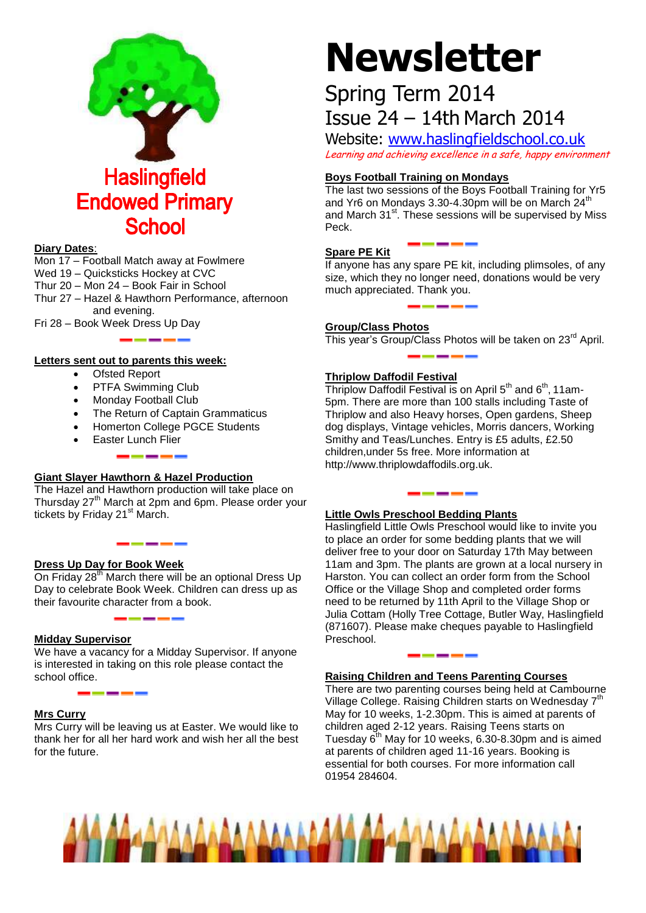

#### **Diary Dates**:

- Mon 17 Football Match away at Fowlmere
- Wed 19 Quicksticks Hockey at CVC
- Thur 20 Mon 24 Book Fair in School
- Thur 27 Hazel & Hawthorn Performance, afternoon and evening.
- Fri 28 Book Week Dress Up Day

#### **Letters sent out to parents this week:**

- Ofsted Report
- PTFA Swimming Club
- Monday Football Club
- The Return of Captain Grammaticus
- Homerton College PGCE Students
- Easter Lunch Flier

# **Giant Slayer Hawthorn & Hazel Production**

The Hazel and Hawthorn production will take place on Thursday 27<sup>th</sup> March at 2pm and 6pm. Please order your tickets by Friday 21<sup>st</sup> March.

# **Dress Up Day for Book Week**

On Friday 28<sup>th</sup> March there will be an optional Dress Up Day to celebrate Book Week. Children can dress up as their favourite character from a book.

<u>the company of the company of the company of the company of the company of the company of the company of the company of the company of the company of the company of the company of the company of the company of the company</u>

# **Midday Supervisor**

We have a vacancy for a Midday Supervisor. If anyone is interested in taking on this role please contact the school office.

# **Mrs Curry**

Mrs Curry will be leaving us at Easter. We would like to thank her for all her hard work and wish her all the best for the future.

# **Newsletter**

# Spring Term 2014 Issue 24 – 14th March 2014

Website: [www.haslingfieldschool.co.uk](http://www.haslingfieldschool.co.uk/) Learning and achieving excellence in a safe, happy environment

# **Boys Football Training on Mondays**

The last two sessions of the Boys Football Training for Yr5 and Yr6 on Mondays 3.30-4.30pm will be on March 24<sup>th</sup> and March 31<sup>st</sup>. These sessions will be supervised by Miss Peck.

# **Spare PE Kit**

If anyone has any spare PE kit, including plimsoles, of any size, which they no longer need, donations would be very much appreciated. Thank you.

# **Group/Class Photos**

This year's Group/Class Photos will be taken on 23<sup>rd</sup> April.

# **Thriplow Daffodil Festival**

Thriplow Daffodil Festival is on April  $5<sup>th</sup>$  and  $6<sup>th</sup>$ , 11am-5pm. There are more than 100 stalls including Taste of Thriplow and also Heavy horses, Open gardens, Sheep dog displays, Vintage vehicles, Morris dancers, Working Smithy and Teas/Lunches. Entry is £5 adults, £2.50 children,under 5s free. More information at http://www.thriplowdaffodils.org.uk.

# **Little Owls Preschool Bedding Plants**

Haslingfield Little Owls Preschool would like to invite you to place an order for some bedding plants that we will deliver free to your door on Saturday 17th May between 11am and 3pm. The plants are grown at a local nursery in Harston. You can collect an order form from the School Office or the Village Shop and completed order forms need to be returned by 11th April to the Village Shop or Julia Cottam (Holly Tree Cottage, Butler Way, Haslingfield (871607). Please make cheques payable to Haslingfield Preschool.

# **Raising Children and Teens Parenting Courses**

There are two parenting courses being held at Cambourne Village College. Raising Children starts on Wednesday 7<sup>th</sup> May for 10 weeks, 1-2.30pm. This is aimed at parents of children aged 2-12 years. Raising Teens starts on Tuesday  $6<sup>th</sup>$  May for 10 weeks, 6.30-8.30pm and is aimed at parents of children aged 11-16 years. Booking is essential for both courses. For more information call 01954 284604.